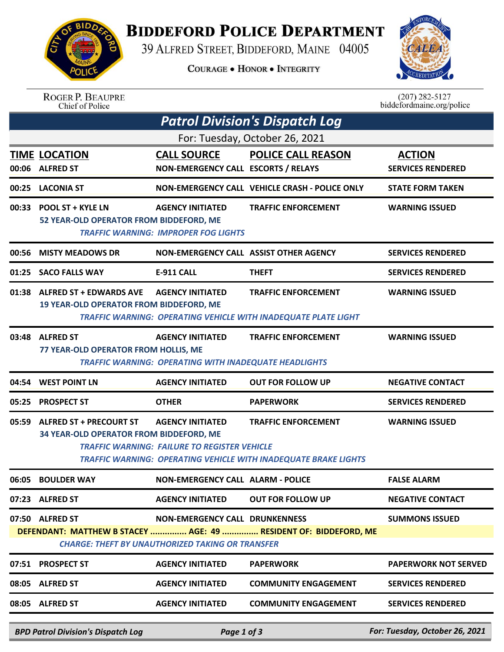

## **BIDDEFORD POLICE DEPARTMENT**

39 ALFRED STREET, BIDDEFORD, MAINE 04005

**COURAGE . HONOR . INTEGRITY** 



| <b>ROGER P. BEAUPRE</b> |
|-------------------------|
| Chief of Police         |

 $(207)$  282-5127<br>biddefordmaine.org/police

| <b>Patrol Division's Dispatch Log</b> |                                                                                                                                                                                                                                                                                              |                                                                                                  |                                                                                                     |                                           |  |  |  |  |
|---------------------------------------|----------------------------------------------------------------------------------------------------------------------------------------------------------------------------------------------------------------------------------------------------------------------------------------------|--------------------------------------------------------------------------------------------------|-----------------------------------------------------------------------------------------------------|-------------------------------------------|--|--|--|--|
| For: Tuesday, October 26, 2021        |                                                                                                                                                                                                                                                                                              |                                                                                                  |                                                                                                     |                                           |  |  |  |  |
|                                       | <b>TIME LOCATION</b><br>00:06 ALFRED ST                                                                                                                                                                                                                                                      | <b>CALL SOURCE</b><br>NON-EMERGENCY CALL ESCORTS / RELAYS                                        | <b>POLICE CALL REASON</b>                                                                           | <b>ACTION</b><br><b>SERVICES RENDERED</b> |  |  |  |  |
|                                       | 00:25 LACONIA ST                                                                                                                                                                                                                                                                             |                                                                                                  | NON-EMERGENCY CALL VEHICLE CRASH - POLICE ONLY                                                      | <b>STATE FORM TAKEN</b>                   |  |  |  |  |
| 00:33                                 | <b>POOL ST + KYLE LN</b><br>52 YEAR-OLD OPERATOR FROM BIDDEFORD, ME                                                                                                                                                                                                                          | <b>AGENCY INITIATED</b><br><b>TRAFFIC WARNING: IMPROPER FOG LIGHTS</b>                           | <b>TRAFFIC ENFORCEMENT</b>                                                                          | <b>WARNING ISSUED</b>                     |  |  |  |  |
| 00:56                                 | <b>MISTY MEADOWS DR</b>                                                                                                                                                                                                                                                                      | NON-EMERGENCY CALL ASSIST OTHER AGENCY                                                           |                                                                                                     | <b>SERVICES RENDERED</b>                  |  |  |  |  |
|                                       | 01:25 SACO FALLS WAY                                                                                                                                                                                                                                                                         | <b>E-911 CALL</b>                                                                                | <b>THEFT</b>                                                                                        | <b>SERVICES RENDERED</b>                  |  |  |  |  |
|                                       | 01:38 ALFRED ST + EDWARDS AVE<br><b>19 YEAR-OLD OPERATOR FROM BIDDEFORD, ME</b>                                                                                                                                                                                                              | <b>AGENCY INITIATED</b>                                                                          | <b>TRAFFIC ENFORCEMENT</b><br><b>TRAFFIC WARNING: OPERATING VEHICLE WITH INADEQUATE PLATE LIGHT</b> | <b>WARNING ISSUED</b>                     |  |  |  |  |
|                                       | 03:48 ALFRED ST<br>77 YEAR-OLD OPERATOR FROM HOLLIS, ME                                                                                                                                                                                                                                      | <b>AGENCY INITIATED</b><br><b>TRAFFIC WARNING: OPERATING WITH INADEQUATE HEADLIGHTS</b>          | <b>TRAFFIC ENFORCEMENT</b>                                                                          | <b>WARNING ISSUED</b>                     |  |  |  |  |
| 04:54                                 | <b>WEST POINT LN</b>                                                                                                                                                                                                                                                                         | <b>AGENCY INITIATED</b>                                                                          | <b>OUT FOR FOLLOW UP</b>                                                                            | <b>NEGATIVE CONTACT</b>                   |  |  |  |  |
| 05:25                                 | <b>PROSPECT ST</b>                                                                                                                                                                                                                                                                           | <b>OTHER</b>                                                                                     | <b>PAPERWORK</b>                                                                                    | <b>SERVICES RENDERED</b>                  |  |  |  |  |
| 05:59                                 | <b>ALFRED ST + PRECOURT ST</b><br><b>AGENCY INITIATED</b><br><b>TRAFFIC ENFORCEMENT</b><br><b>WARNING ISSUED</b><br>34 YEAR-OLD OPERATOR FROM BIDDEFORD, ME<br><b>TRAFFIC WARNING: FAILURE TO REGISTER VEHICLE</b><br><b>TRAFFIC WARNING: OPERATING VEHICLE WITH INADEQUATE BRAKE LIGHTS</b> |                                                                                                  |                                                                                                     |                                           |  |  |  |  |
| 06:05                                 |                                                                                                                                                                                                                                                                                              |                                                                                                  |                                                                                                     |                                           |  |  |  |  |
|                                       | <b>BOULDER WAY</b>                                                                                                                                                                                                                                                                           | <b>NON-EMERGENCY CALL ALARM - POLICE</b>                                                         |                                                                                                     | <b>FALSE ALARM</b>                        |  |  |  |  |
|                                       | 07:23 ALFRED ST                                                                                                                                                                                                                                                                              | <b>AGENCY INITIATED</b>                                                                          | <b>OUT FOR FOLLOW UP</b>                                                                            | <b>NEGATIVE CONTACT</b>                   |  |  |  |  |
|                                       | 07:50 ALFRED ST                                                                                                                                                                                                                                                                              | <b>NON-EMERGENCY CALL DRUNKENNESS</b><br><b>CHARGE: THEFT BY UNAUTHORIZED TAKING OR TRANSFER</b> | DEFENDANT: MATTHEW B STACEY  AGE: 49  RESIDENT OF: BIDDEFORD, ME                                    | <b>SUMMONS ISSUED</b>                     |  |  |  |  |
|                                       | 07:51 PROSPECT ST                                                                                                                                                                                                                                                                            | <b>AGENCY INITIATED</b>                                                                          | <b>PAPERWORK</b>                                                                                    | <b>PAPERWORK NOT SERVED</b>               |  |  |  |  |
|                                       | 08:05 ALFRED ST                                                                                                                                                                                                                                                                              | <b>AGENCY INITIATED</b>                                                                          | <b>COMMUNITY ENGAGEMENT</b>                                                                         | <b>SERVICES RENDERED</b>                  |  |  |  |  |
|                                       | 08:05 ALFRED ST                                                                                                                                                                                                                                                                              | <b>AGENCY INITIATED</b>                                                                          | <b>COMMUNITY ENGAGEMENT</b>                                                                         | <b>SERVICES RENDERED</b>                  |  |  |  |  |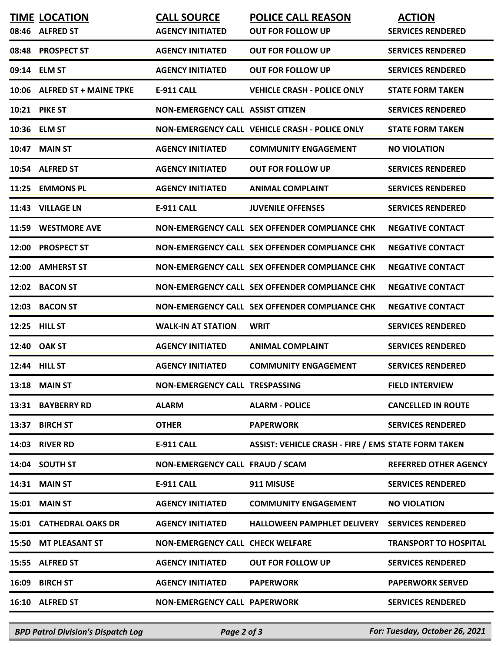|       | <b>TIME LOCATION</b>           | <b>CALL SOURCE</b>                       | <b>POLICE CALL REASON</b>                                  | <b>ACTION</b>                |
|-------|--------------------------------|------------------------------------------|------------------------------------------------------------|------------------------------|
|       | 08:46 ALFRED ST                | <b>AGENCY INITIATED</b>                  | <b>OUT FOR FOLLOW UP</b>                                   | <b>SERVICES RENDERED</b>     |
|       | 08:48 PROSPECT ST              | <b>AGENCY INITIATED</b>                  | <b>OUT FOR FOLLOW UP</b>                                   | <b>SERVICES RENDERED</b>     |
|       | 09:14 ELM ST                   | <b>AGENCY INITIATED</b>                  | <b>OUT FOR FOLLOW UP</b>                                   | <b>SERVICES RENDERED</b>     |
|       | 10:06 ALFRED ST + MAINE TPKE   | <b>E-911 CALL</b>                        | <b>VEHICLE CRASH - POLICE ONLY</b>                         | <b>STATE FORM TAKEN</b>      |
|       | <b>10:21 PIKE ST</b>           | <b>NON-EMERGENCY CALL ASSIST CITIZEN</b> |                                                            | <b>SERVICES RENDERED</b>     |
|       | 10:36 ELM ST                   |                                          | NON-EMERGENCY CALL VEHICLE CRASH - POLICE ONLY             | <b>STATE FORM TAKEN</b>      |
|       | <b>10:47 MAIN ST</b>           | <b>AGENCY INITIATED</b>                  | <b>COMMUNITY ENGAGEMENT</b>                                | <b>NO VIOLATION</b>          |
|       | 10:54 ALFRED ST                | <b>AGENCY INITIATED</b>                  | <b>OUT FOR FOLLOW UP</b>                                   | <b>SERVICES RENDERED</b>     |
|       | 11:25 EMMONS PL                | <b>AGENCY INITIATED</b>                  | <b>ANIMAL COMPLAINT</b>                                    | <b>SERVICES RENDERED</b>     |
|       | 11:43 VILLAGE LN               | <b>E-911 CALL</b>                        | <b>JUVENILE OFFENSES</b>                                   | <b>SERVICES RENDERED</b>     |
|       | 11:59 WESTMORE AVE             |                                          | NON-EMERGENCY CALL SEX OFFENDER COMPLIANCE CHK             | <b>NEGATIVE CONTACT</b>      |
|       | 12:00 PROSPECT ST              |                                          | NON-EMERGENCY CALL SEX OFFENDER COMPLIANCE CHK             | <b>NEGATIVE CONTACT</b>      |
|       | 12:00 AMHERST ST               |                                          | NON-EMERGENCY CALL SEX OFFENDER COMPLIANCE CHK             | <b>NEGATIVE CONTACT</b>      |
|       | 12:02 BACON ST                 |                                          | NON-EMERGENCY CALL SEX OFFENDER COMPLIANCE CHK             | <b>NEGATIVE CONTACT</b>      |
|       | 12:03 BACON ST                 |                                          | NON-EMERGENCY CALL SEX OFFENDER COMPLIANCE CHK             | <b>NEGATIVE CONTACT</b>      |
|       | 12:25 HILL ST                  | <b>WALK-IN AT STATION</b>                | <b>WRIT</b>                                                | <b>SERVICES RENDERED</b>     |
|       | 12:40 OAK ST                   | <b>AGENCY INITIATED</b>                  | <b>ANIMAL COMPLAINT</b>                                    | <b>SERVICES RENDERED</b>     |
|       | 12:44 HILL ST                  | <b>AGENCY INITIATED</b>                  | <b>COMMUNITY ENGAGEMENT</b>                                | <b>SERVICES RENDERED</b>     |
|       | 13:18 MAIN ST                  | NON-EMERGENCY CALL TRESPASSING           |                                                            | <b>FIELD INTERVIEW</b>       |
|       | 13:31 BAYBERRY RD              | <b>ALARM</b>                             | <b>ALARM - POLICE</b>                                      | <b>CANCELLED IN ROUTE</b>    |
| 13:37 | <b>BIRCH ST</b>                | <b>OTHER</b>                             | <b>PAPERWORK</b>                                           | <b>SERVICES RENDERED</b>     |
| 14:03 | <b>RIVER RD</b>                | <b>E-911 CALL</b>                        | <b>ASSIST: VEHICLE CRASH - FIRE / EMS STATE FORM TAKEN</b> |                              |
|       | 14:04 SOUTH ST                 | NON-EMERGENCY CALL FRAUD / SCAM          |                                                            | <b>REFERRED OTHER AGENCY</b> |
|       | <b>14:31 MAIN ST</b>           | <b>E-911 CALL</b>                        | 911 MISUSE                                                 | <b>SERVICES RENDERED</b>     |
|       | <b>15:01 MAIN ST</b>           | <b>AGENCY INITIATED</b>                  | <b>COMMUNITY ENGAGEMENT</b>                                | <b>NO VIOLATION</b>          |
|       | <b>15:01 CATHEDRAL OAKS DR</b> | <b>AGENCY INITIATED</b>                  | <b>HALLOWEEN PAMPHLET DELIVERY</b>                         | <b>SERVICES RENDERED</b>     |
|       | 15:50 MT PLEASANT ST           | <b>NON-EMERGENCY CALL CHECK WELFARE</b>  |                                                            | <b>TRANSPORT TO HOSPITAL</b> |
| 15:55 | <b>ALFRED ST</b>               | <b>AGENCY INITIATED</b>                  | <b>OUT FOR FOLLOW UP</b>                                   | <b>SERVICES RENDERED</b>     |
|       | 16:09 BIRCH ST                 | <b>AGENCY INITIATED</b>                  | <b>PAPERWORK</b>                                           | <b>PAPERWORK SERVED</b>      |
|       | 16:10 ALFRED ST                | <b>NON-EMERGENCY CALL PAPERWORK</b>      |                                                            | <b>SERVICES RENDERED</b>     |
|       |                                |                                          |                                                            |                              |

*BPD Patrol Division's Dispatch Log Page 2 of 3 For: Tuesday, October 26, 2021*